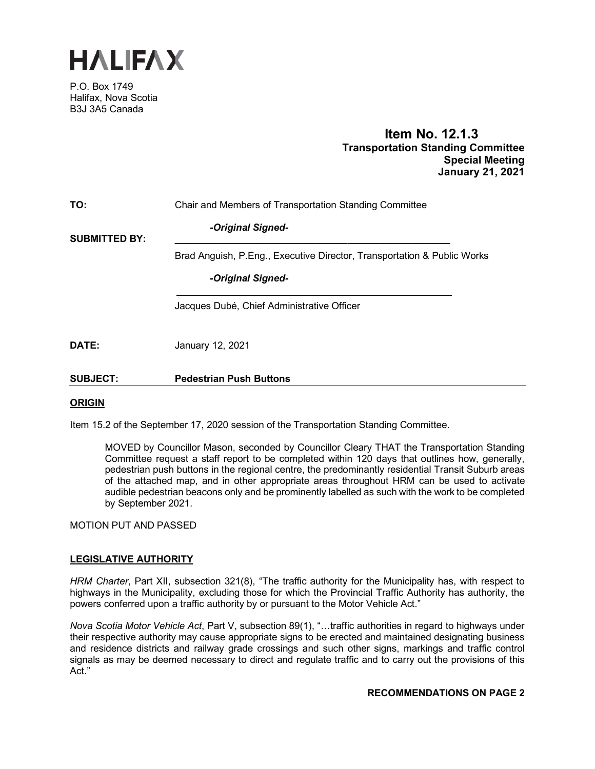

P.O. Box 1749 Halifax, Nova Scotia B3J 3A5 Canada

# **Item No. 12.1.3 Transportation Standing Committee Special Meeting January 21, 2021**

| TO:                  | Chair and Members of Transportation Standing Committee                  |
|----------------------|-------------------------------------------------------------------------|
| <b>SUBMITTED BY:</b> | -Original Signed-                                                       |
|                      | Brad Anguish, P.Eng., Executive Director, Transportation & Public Works |
|                      | -Original Signed-                                                       |
|                      | Jacques Dubé, Chief Administrative Officer                              |
| DATE:                | January 12, 2021                                                        |
| <b>SUBJECT:</b>      | <b>Pedestrian Push Buttons</b>                                          |

### **ORIGIN**

Item 15.2 of the September 17, 2020 session of the Transportation Standing Committee.

MOVED by Councillor Mason, seconded by Councillor Cleary THAT the Transportation Standing Committee request a staff report to be completed within 120 days that outlines how, generally, pedestrian push buttons in the regional centre, the predominantly residential Transit Suburb areas of the attached map, and in other appropriate areas throughout HRM can be used to activate audible pedestrian beacons only and be prominently labelled as such with the work to be completed by September 2021.

MOTION PUT AND PASSED

### **LEGISLATIVE AUTHORITY**

*HRM Charter*, Part XII, subsection 321(8), "The traffic authority for the Municipality has, with respect to highways in the Municipality, excluding those for which the Provincial Traffic Authority has authority, the powers conferred upon a traffic authority by or pursuant to the Motor Vehicle Act."

*Nova Scotia Motor Vehicle Act*, Part V, subsection 89(1), "…traffic authorities in regard to highways under their respective authority may cause appropriate signs to be erected and maintained designating business and residence districts and railway grade crossings and such other signs, markings and traffic control signals as may be deemed necessary to direct and regulate traffic and to carry out the provisions of this Act."

#### **RECOMMENDATIONS ON PAGE 2**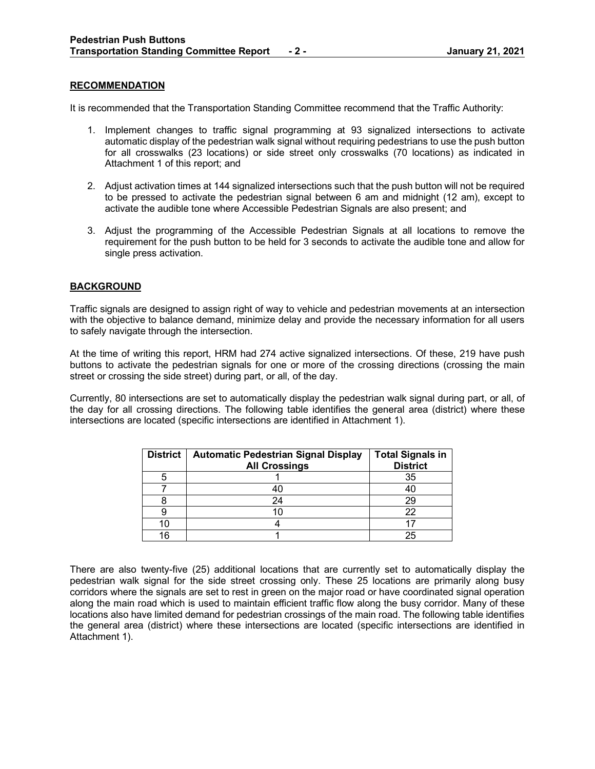### **RECOMMENDATION**

It is recommended that the Transportation Standing Committee recommend that the Traffic Authority:

- 1. Implement changes to traffic signal programming at 93 signalized intersections to activate automatic display of the pedestrian walk signal without requiring pedestrians to use the push button for all crosswalks (23 locations) or side street only crosswalks (70 locations) as indicated in Attachment 1 of this report; and
- 2. Adjust activation times at 144 signalized intersections such that the push button will not be required to be pressed to activate the pedestrian signal between 6 am and midnight (12 am), except to activate the audible tone where Accessible Pedestrian Signals are also present; and
- 3. Adjust the programming of the Accessible Pedestrian Signals at all locations to remove the requirement for the push button to be held for 3 seconds to activate the audible tone and allow for single press activation.

# **BACKGROUND**

Traffic signals are designed to assign right of way to vehicle and pedestrian movements at an intersection with the objective to balance demand, minimize delay and provide the necessary information for all users to safely navigate through the intersection.

At the time of writing this report, HRM had 274 active signalized intersections. Of these, 219 have push buttons to activate the pedestrian signals for one or more of the crossing directions (crossing the main street or crossing the side street) during part, or all, of the day.

Currently, 80 intersections are set to automatically display the pedestrian walk signal during part, or all, of the day for all crossing directions. The following table identifies the general area (district) where these intersections are located (specific intersections are identified in Attachment 1).

| <b>District</b> | <b>Automatic Pedestrian Signal Display</b><br><b>All Crossings</b> | <b>Total Signals in</b><br><b>District</b> |
|-----------------|--------------------------------------------------------------------|--------------------------------------------|
|                 |                                                                    | 35                                         |
|                 |                                                                    | -40                                        |
|                 | 24                                                                 | 29                                         |
|                 |                                                                    | 22                                         |
|                 |                                                                    |                                            |
| 16              |                                                                    | 25                                         |

There are also twenty-five (25) additional locations that are currently set to automatically display the pedestrian walk signal for the side street crossing only. These 25 locations are primarily along busy corridors where the signals are set to rest in green on the major road or have coordinated signal operation along the main road which is used to maintain efficient traffic flow along the busy corridor. Many of these locations also have limited demand for pedestrian crossings of the main road. The following table identifies the general area (district) where these intersections are located (specific intersections are identified in Attachment 1).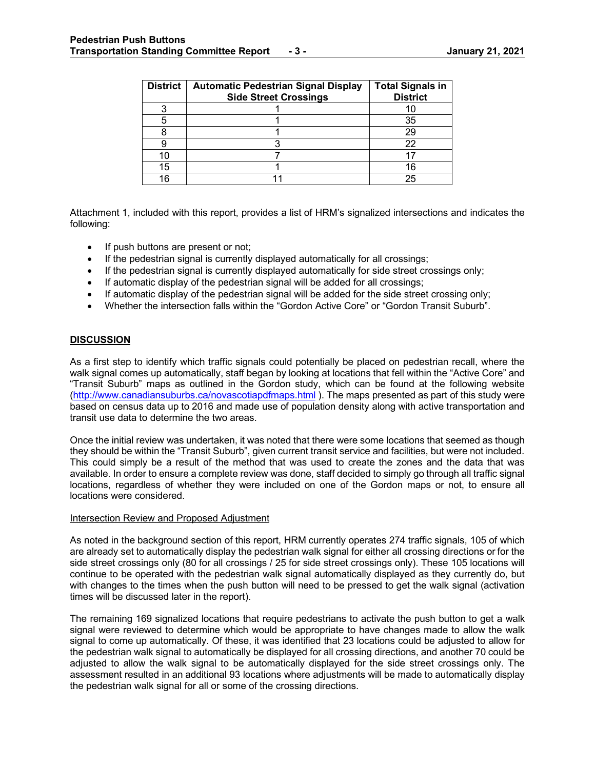| <b>District</b> | <b>Automatic Pedestrian Signal Display</b><br><b>Side Street Crossings</b> | <b>Total Signals in</b><br><b>District</b> |
|-----------------|----------------------------------------------------------------------------|--------------------------------------------|
|                 |                                                                            |                                            |
|                 |                                                                            | 35                                         |
|                 |                                                                            | 29                                         |
|                 |                                                                            | 22                                         |
|                 |                                                                            |                                            |
| 15              |                                                                            | 16                                         |
| 16              |                                                                            | 25                                         |

Attachment 1, included with this report, provides a list of HRM's signalized intersections and indicates the following:

- If push buttons are present or not;
- If the pedestrian signal is currently displayed automatically for all crossings;
- If the pedestrian signal is currently displayed automatically for side street crossings only;
- If automatic display of the pedestrian signal will be added for all crossings;
- If automatic display of the pedestrian signal will be added for the side street crossing only;
- Whether the intersection falls within the "Gordon Active Core" or "Gordon Transit Suburb".

### **DISCUSSION**

As a first step to identify which traffic signals could potentially be placed on pedestrian recall, where the walk signal comes up automatically, staff began by looking at locations that fell within the "Active Core" and "Transit Suburb" maps as outlined in the Gordon study, which can be found at the following website [\(http://www.canadiansuburbs.ca/novascotiapdfmaps.html](http://www.canadiansuburbs.ca/novascotiapdfmaps.html)). The maps presented as part of this study were based on census data up to 2016 and made use of population density along with active transportation and transit use data to determine the two areas.

Once the initial review was undertaken, it was noted that there were some locations that seemed as though they should be within the "Transit Suburb", given current transit service and facilities, but were not included. This could simply be a result of the method that was used to create the zones and the data that was available. In order to ensure a complete review was done, staff decided to simply go through all traffic signal locations, regardless of whether they were included on one of the Gordon maps or not, to ensure all locations were considered.

#### Intersection Review and Proposed Adjustment

As noted in the background section of this report, HRM currently operates 274 traffic signals, 105 of which are already set to automatically display the pedestrian walk signal for either all crossing directions or for the side street crossings only (80 for all crossings / 25 for side street crossings only). These 105 locations will continue to be operated with the pedestrian walk signal automatically displayed as they currently do, but with changes to the times when the push button will need to be pressed to get the walk signal (activation times will be discussed later in the report).

The remaining 169 signalized locations that require pedestrians to activate the push button to get a walk signal were reviewed to determine which would be appropriate to have changes made to allow the walk signal to come up automatically. Of these, it was identified that 23 locations could be adjusted to allow for the pedestrian walk signal to automatically be displayed for all crossing directions, and another 70 could be adjusted to allow the walk signal to be automatically displayed for the side street crossings only. The assessment resulted in an additional 93 locations where adjustments will be made to automatically display the pedestrian walk signal for all or some of the crossing directions.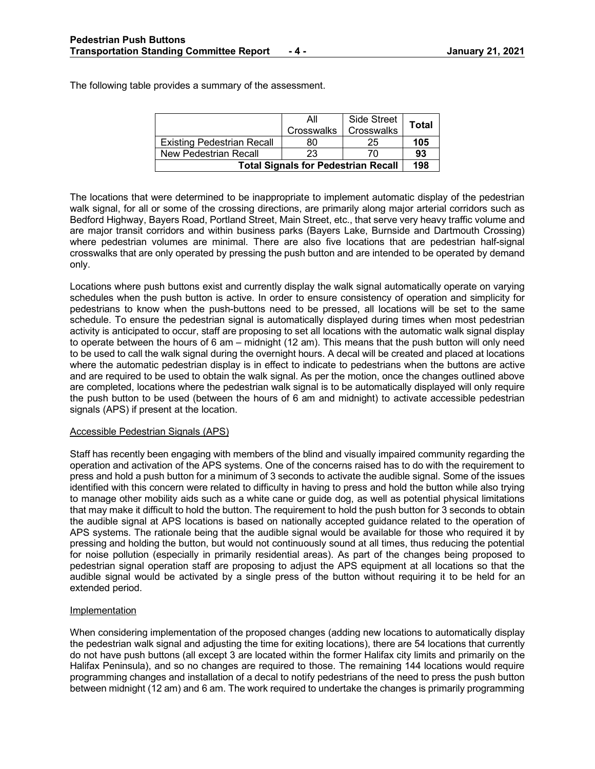The following table provides a summary of the assessment.

|                                            | All               | <b>Side Street</b> | <b>Total</b> |  |  |  |  |  |
|--------------------------------------------|-------------------|--------------------|--------------|--|--|--|--|--|
|                                            | <b>Crosswalks</b> | Crosswalks         |              |  |  |  |  |  |
| <b>Existing Pedestrian Recall</b>          | 80                | 25                 | 105          |  |  |  |  |  |
| New Pedestrian Recall                      | 23                | 70                 | 93           |  |  |  |  |  |
| <b>Total Signals for Pedestrian Recall</b> |                   |                    |              |  |  |  |  |  |

The locations that were determined to be inappropriate to implement automatic display of the pedestrian walk signal, for all or some of the crossing directions, are primarily along major arterial corridors such as Bedford Highway, Bayers Road, Portland Street, Main Street, etc., that serve very heavy traffic volume and are major transit corridors and within business parks (Bayers Lake, Burnside and Dartmouth Crossing) where pedestrian volumes are minimal. There are also five locations that are pedestrian half-signal crosswalks that are only operated by pressing the push button and are intended to be operated by demand only.

Locations where push buttons exist and currently display the walk signal automatically operate on varying schedules when the push button is active. In order to ensure consistency of operation and simplicity for pedestrians to know when the push-buttons need to be pressed, all locations will be set to the same schedule. To ensure the pedestrian signal is automatically displayed during times when most pedestrian activity is anticipated to occur, staff are proposing to set all locations with the automatic walk signal display to operate between the hours of 6 am – midnight (12 am). This means that the push button will only need to be used to call the walk signal during the overnight hours. A decal will be created and placed at locations where the automatic pedestrian display is in effect to indicate to pedestrians when the buttons are active and are required to be used to obtain the walk signal. As per the motion, once the changes outlined above are completed, locations where the pedestrian walk signal is to be automatically displayed will only require the push button to be used (between the hours of 6 am and midnight) to activate accessible pedestrian signals (APS) if present at the location.

### Accessible Pedestrian Signals (APS)

Staff has recently been engaging with members of the blind and visually impaired community regarding the operation and activation of the APS systems. One of the concerns raised has to do with the requirement to press and hold a push button for a minimum of 3 seconds to activate the audible signal. Some of the issues identified with this concern were related to difficulty in having to press and hold the button while also trying to manage other mobility aids such as a white cane or guide dog, as well as potential physical limitations that may make it difficult to hold the button. The requirement to hold the push button for 3 seconds to obtain the audible signal at APS locations is based on nationally accepted guidance related to the operation of APS systems. The rationale being that the audible signal would be available for those who required it by pressing and holding the button, but would not continuously sound at all times, thus reducing the potential for noise pollution (especially in primarily residential areas). As part of the changes being proposed to pedestrian signal operation staff are proposing to adjust the APS equipment at all locations so that the audible signal would be activated by a single press of the button without requiring it to be held for an extended period.

### Implementation

When considering implementation of the proposed changes (adding new locations to automatically display the pedestrian walk signal and adjusting the time for exiting locations), there are 54 locations that currently do not have push buttons (all except 3 are located within the former Halifax city limits and primarily on the Halifax Peninsula), and so no changes are required to those. The remaining 144 locations would require programming changes and installation of a decal to notify pedestrians of the need to press the push button between midnight (12 am) and 6 am. The work required to undertake the changes is primarily programming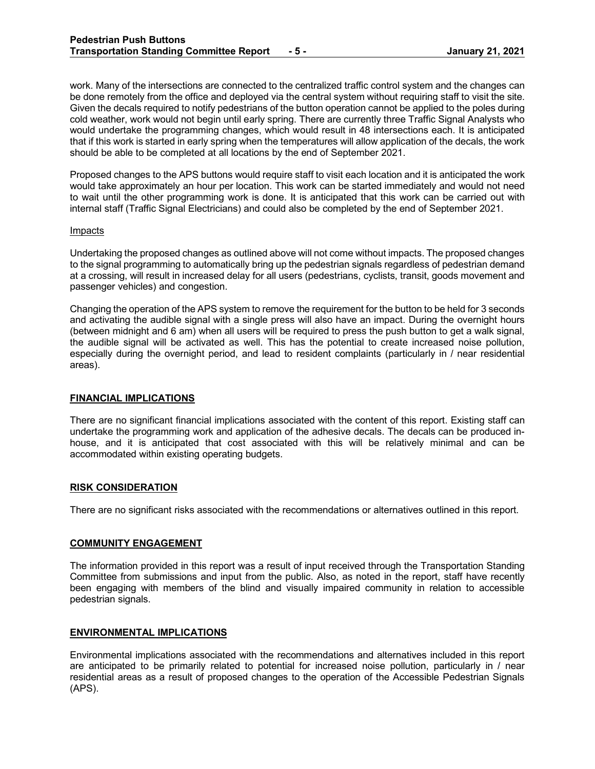work. Many of the intersections are connected to the centralized traffic control system and the changes can be done remotely from the office and deployed via the central system without requiring staff to visit the site. Given the decals required to notify pedestrians of the button operation cannot be applied to the poles during cold weather, work would not begin until early spring. There are currently three Traffic Signal Analysts who would undertake the programming changes, which would result in 48 intersections each. It is anticipated that if this work is started in early spring when the temperatures will allow application of the decals, the work should be able to be completed at all locations by the end of September 2021.

Proposed changes to the APS buttons would require staff to visit each location and it is anticipated the work would take approximately an hour per location. This work can be started immediately and would not need to wait until the other programming work is done. It is anticipated that this work can be carried out with internal staff (Traffic Signal Electricians) and could also be completed by the end of September 2021.

#### Impacts

Undertaking the proposed changes as outlined above will not come without impacts. The proposed changes to the signal programming to automatically bring up the pedestrian signals regardless of pedestrian demand at a crossing, will result in increased delay for all users (pedestrians, cyclists, transit, goods movement and passenger vehicles) and congestion.

Changing the operation of the APS system to remove the requirement for the button to be held for 3 seconds and activating the audible signal with a single press will also have an impact. During the overnight hours (between midnight and 6 am) when all users will be required to press the push button to get a walk signal, the audible signal will be activated as well. This has the potential to create increased noise pollution, especially during the overnight period, and lead to resident complaints (particularly in / near residential areas).

### **FINANCIAL IMPLICATIONS**

There are no significant financial implications associated with the content of this report. Existing staff can undertake the programming work and application of the adhesive decals. The decals can be produced inhouse, and it is anticipated that cost associated with this will be relatively minimal and can be accommodated within existing operating budgets.

### **RISK CONSIDERATION**

There are no significant risks associated with the recommendations or alternatives outlined in this report.

### **COMMUNITY ENGAGEMENT**

The information provided in this report was a result of input received through the Transportation Standing Committee from submissions and input from the public. Also, as noted in the report, staff have recently been engaging with members of the blind and visually impaired community in relation to accessible pedestrian signals.

### **ENVIRONMENTAL IMPLICATIONS**

Environmental implications associated with the recommendations and alternatives included in this report are anticipated to be primarily related to potential for increased noise pollution, particularly in / near residential areas as a result of proposed changes to the operation of the Accessible Pedestrian Signals (APS).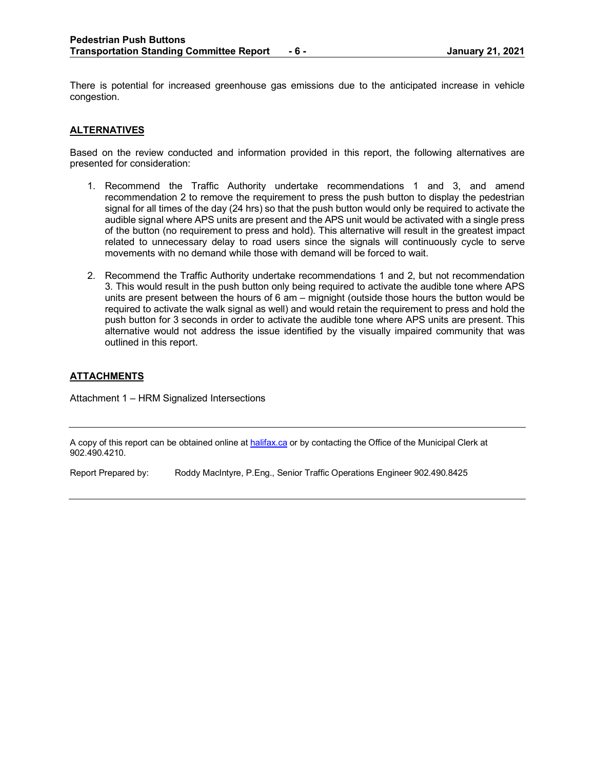There is potential for increased greenhouse gas emissions due to the anticipated increase in vehicle congestion.

# **ALTERNATIVES**

Based on the review conducted and information provided in this report, the following alternatives are presented for consideration:

- 1. Recommend the Traffic Authority undertake recommendations 1 and 3, and amend recommendation 2 to remove the requirement to press the push button to display the pedestrian signal for all times of the day (24 hrs) so that the push button would only be required to activate the audible signal where APS units are present and the APS unit would be activated with a single press of the button (no requirement to press and hold). This alternative will result in the greatest impact related to unnecessary delay to road users since the signals will continuously cycle to serve movements with no demand while those with demand will be forced to wait.
- 2. Recommend the Traffic Authority undertake recommendations 1 and 2, but not recommendation 3. This would result in the push button only being required to activate the audible tone where APS units are present between the hours of 6 am – mignight (outside those hours the button would be required to activate the walk signal as well) and would retain the requirement to press and hold the push button for 3 seconds in order to activate the audible tone where APS units are present. This alternative would not address the issue identified by the visually impaired community that was outlined in this report.

# **ATTACHMENTS**

Attachment 1 – HRM Signalized Intersections

A copy of this report can be obtained online a[t halifax.ca](http://www.halifax.ca/) or by contacting the Office of the Municipal Clerk at 902.490.4210.

Report Prepared by: Roddy MacIntyre, P.Eng., Senior Traffic Operations Engineer 902.490.8425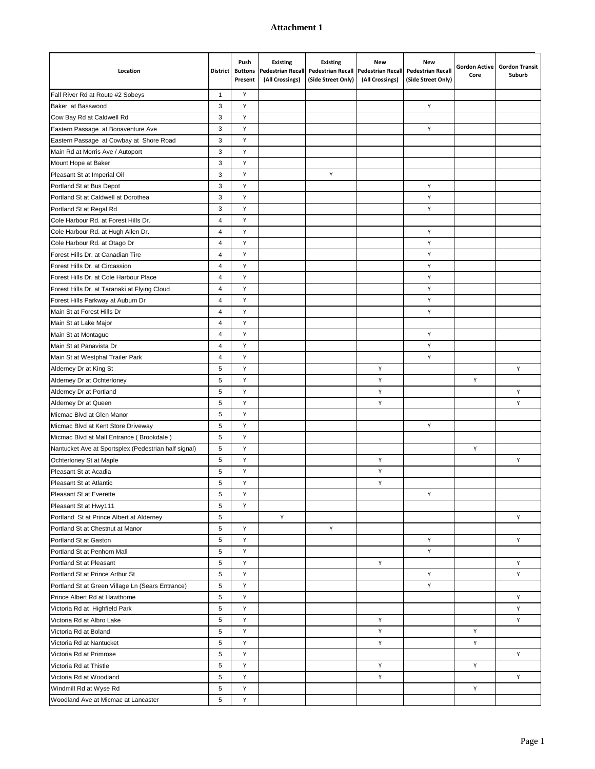| Location                                             |              | Push<br>District Buttons<br>Present | <b>Existing</b><br><b>Pedestrian Recall</b><br>(All Crossings) | <b>Existing</b><br><b>Pedestrian Recall</b><br>(Side Street Only) | <b>New</b><br><b>Pedestrian Recall</b><br>(All Crossings) | <b>New</b><br><b>Pedestrian Recall</b><br>(Side Street Only) | <b>Gordon Active</b><br>Core | <b>Gordon Transit</b><br>Suburb |
|------------------------------------------------------|--------------|-------------------------------------|----------------------------------------------------------------|-------------------------------------------------------------------|-----------------------------------------------------------|--------------------------------------------------------------|------------------------------|---------------------------------|
| Fall River Rd at Route #2 Sobeys                     | $\mathbf{1}$ | Y                                   |                                                                |                                                                   |                                                           |                                                              |                              |                                 |
| Baker at Basswood                                    | 3            | Y                                   |                                                                |                                                                   |                                                           | Y                                                            |                              |                                 |
| Cow Bay Rd at Caldwell Rd                            | 3            | Y                                   |                                                                |                                                                   |                                                           |                                                              |                              |                                 |
| Eastern Passage at Bonaventure Ave                   | 3            | Y                                   |                                                                |                                                                   |                                                           | Y                                                            |                              |                                 |
| Eastern Passage at Cowbay at Shore Road              | 3            | Y                                   |                                                                |                                                                   |                                                           |                                                              |                              |                                 |
| Main Rd at Morris Ave / Autoport                     | 3            | Y                                   |                                                                |                                                                   |                                                           |                                                              |                              |                                 |
| Mount Hope at Baker                                  | 3            | Y                                   |                                                                |                                                                   |                                                           |                                                              |                              |                                 |
| Pleasant St at Imperial Oil                          | 3            | Y                                   |                                                                | Y                                                                 |                                                           |                                                              |                              |                                 |
| Portland St at Bus Depot                             | 3            | Y                                   |                                                                |                                                                   |                                                           | Υ                                                            |                              |                                 |
| Portland St at Caldwell at Dorothea                  | 3            | Y                                   |                                                                |                                                                   |                                                           | Υ                                                            |                              |                                 |
| Portland St at Regal Rd                              | 3            | Y                                   |                                                                |                                                                   |                                                           | Υ                                                            |                              |                                 |
| Cole Harbour Rd. at Forest Hills Dr.                 | 4            | Y                                   |                                                                |                                                                   |                                                           |                                                              |                              |                                 |
| Cole Harbour Rd. at Hugh Allen Dr.                   | 4            | Y                                   |                                                                |                                                                   |                                                           | Y                                                            |                              |                                 |
| Cole Harbour Rd. at Otago Dr                         | 4            | Y                                   |                                                                |                                                                   |                                                           | Υ                                                            |                              |                                 |
| Forest Hills Dr. at Canadian Tire                    | 4            | Y                                   |                                                                |                                                                   |                                                           | Y                                                            |                              |                                 |
| Forest Hills Dr. at Circassion                       | 4            | Y                                   |                                                                |                                                                   |                                                           | Υ                                                            |                              |                                 |
| Forest Hills Dr. at Cole Harbour Place               | 4            | Y                                   |                                                                |                                                                   |                                                           | Υ                                                            |                              |                                 |
| Forest Hills Dr. at Taranaki at Flying Cloud         | 4            | Y                                   |                                                                |                                                                   |                                                           | Υ                                                            |                              |                                 |
| Forest Hills Parkway at Auburn Dr                    | 4            | Y                                   |                                                                |                                                                   |                                                           | Υ                                                            |                              |                                 |
| Main St at Forest Hills Dr                           | 4            | Y                                   |                                                                |                                                                   |                                                           | Υ                                                            |                              |                                 |
| Main St at Lake Major                                | 4            | Y                                   |                                                                |                                                                   |                                                           |                                                              |                              |                                 |
| Main St at Montague                                  | 4            | Y                                   |                                                                |                                                                   |                                                           | Y                                                            |                              |                                 |
| Main St at Panavista Dr                              | 4            | Y                                   |                                                                |                                                                   |                                                           | Υ                                                            |                              |                                 |
| Main St at Westphal Trailer Park                     | 4            | Y                                   |                                                                |                                                                   |                                                           | Y                                                            |                              |                                 |
| Alderney Dr at King St                               | 5            | Y                                   |                                                                |                                                                   | Y                                                         |                                                              |                              | Y                               |
| Alderney Dr at Ochterloney                           | 5            | Y                                   |                                                                |                                                                   | Υ                                                         |                                                              | Υ                            |                                 |
| Alderney Dr at Portland                              | 5            | Y                                   |                                                                |                                                                   | Υ                                                         |                                                              |                              | Y                               |
| Alderney Dr at Queen                                 | 5            | Y                                   |                                                                |                                                                   | Υ                                                         |                                                              |                              | Υ                               |
| Micmac Blvd at Glen Manor                            | 5            | Y                                   |                                                                |                                                                   |                                                           |                                                              |                              |                                 |
| Micmac Blvd at Kent Store Driveway                   | 5            | Y                                   |                                                                |                                                                   |                                                           | Y                                                            |                              |                                 |
| Micmac Blvd at Mall Entrance (Brookdale)             | 5            | Y                                   |                                                                |                                                                   |                                                           |                                                              |                              |                                 |
| Nantucket Ave at Sportsplex (Pedestrian half signal) | 5            | Y                                   |                                                                |                                                                   |                                                           |                                                              | Υ                            |                                 |
| Ochterloney St at Maple                              | 5            | Y                                   |                                                                |                                                                   | Υ                                                         |                                                              |                              | Υ                               |
| Pleasant St at Acadia                                | 5            | Y                                   |                                                                |                                                                   | Υ                                                         |                                                              |                              |                                 |
| Pleasant St at Atlantic                              | 5            | Y                                   |                                                                |                                                                   | Υ                                                         |                                                              |                              |                                 |
| Pleasant St at Everette                              | 5            | Y                                   |                                                                |                                                                   |                                                           | Y                                                            |                              |                                 |
| Pleasant St at Hwy111                                | 5            | Y                                   |                                                                |                                                                   |                                                           |                                                              |                              |                                 |
| Portland St at Prince Albert at Alderney             | 5            |                                     | Y                                                              |                                                                   |                                                           |                                                              |                              | Υ                               |
| Portland St at Chestnut at Manor                     | 5            | Y                                   |                                                                | Y                                                                 |                                                           |                                                              |                              |                                 |
| Portland St at Gaston                                | 5            | Y                                   |                                                                |                                                                   |                                                           | Y                                                            |                              | Υ                               |
| Portland St at Penhorn Mall                          | 5            | Y                                   |                                                                |                                                                   |                                                           | Y                                                            |                              |                                 |
| Portland St at Pleasant                              | 5            | Y                                   |                                                                |                                                                   | Υ                                                         |                                                              |                              | Υ                               |
| Portland St at Prince Arthur St                      | 5            | Y                                   |                                                                |                                                                   |                                                           | Υ                                                            |                              | Υ                               |
| Portland St at Green Village Ln (Sears Entrance)     | 5            | Y                                   |                                                                |                                                                   |                                                           | Y                                                            |                              |                                 |
| Prince Albert Rd at Hawthorne                        | 5            | Y                                   |                                                                |                                                                   |                                                           |                                                              |                              | Υ                               |
| Victoria Rd at Highfield Park                        | 5            | Y                                   |                                                                |                                                                   |                                                           |                                                              |                              | Y                               |
| Victoria Rd at Albro Lake                            | 5            | Y                                   |                                                                |                                                                   | Y                                                         |                                                              |                              | Y                               |
| Victoria Rd at Boland                                | 5            | Υ                                   |                                                                |                                                                   | Y                                                         |                                                              | Y                            |                                 |
| Victoria Rd at Nantucket                             | 5            | Υ                                   |                                                                |                                                                   | Υ                                                         |                                                              | Y                            |                                 |
| Victoria Rd at Primrose                              | 5            | Y                                   |                                                                |                                                                   |                                                           |                                                              |                              | Υ                               |
| Victoria Rd at Thistle                               | 5            | Y                                   |                                                                |                                                                   | Υ                                                         |                                                              | Υ                            |                                 |
| Victoria Rd at Woodland                              | 5            | Y                                   |                                                                |                                                                   | Υ                                                         |                                                              |                              | Υ                               |
| Windmill Rd at Wyse Rd                               | 5            | Y                                   |                                                                |                                                                   |                                                           |                                                              | Υ                            |                                 |
| Woodland Ave at Micmac at Lancaster                  | 5            | Y                                   |                                                                |                                                                   |                                                           |                                                              |                              |                                 |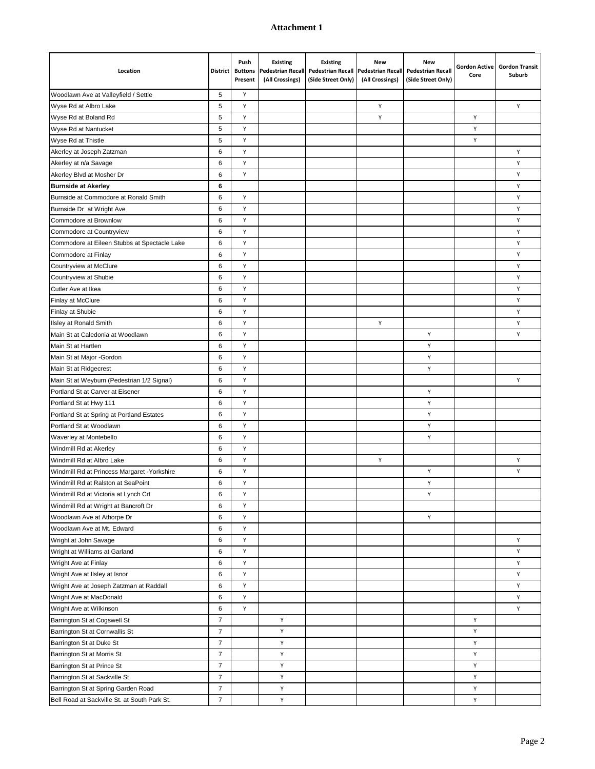| Location                                     | <b>District</b> | Push<br><b>Buttons</b><br>Present | <b>Existing</b><br><b>Pedestrian Recall</b><br>(All Crossings) | <b>Existing</b><br><b>Pedestrian Recall</b><br>(Side Street Only) | <b>New</b><br><b>Pedestrian Recall</b><br>(All Crossings) | <b>New</b><br><b>Pedestrian Recall</b><br>(Side Street Only) | <b>Gordon Active</b><br>Core | <b>Gordon Transit</b><br>Suburb |
|----------------------------------------------|-----------------|-----------------------------------|----------------------------------------------------------------|-------------------------------------------------------------------|-----------------------------------------------------------|--------------------------------------------------------------|------------------------------|---------------------------------|
| Woodlawn Ave at Valleyfield / Settle         | 5               | Υ                                 |                                                                |                                                                   |                                                           |                                                              |                              |                                 |
| Wyse Rd at Albro Lake                        | 5               | Y                                 |                                                                |                                                                   | Y                                                         |                                                              |                              | Υ                               |
| Wyse Rd at Boland Rd                         | 5               | Y                                 |                                                                |                                                                   | Y                                                         |                                                              | Υ                            |                                 |
| Wyse Rd at Nantucket                         | 5               | Y                                 |                                                                |                                                                   |                                                           |                                                              | Υ                            |                                 |
| Wyse Rd at Thistle                           | 5               | Y                                 |                                                                |                                                                   |                                                           |                                                              | Υ                            |                                 |
| Akerley at Joseph Zatzman                    | 6               | Y                                 |                                                                |                                                                   |                                                           |                                                              |                              | Υ                               |
| Akerley at n/a Savage                        | 6               | Y                                 |                                                                |                                                                   |                                                           |                                                              |                              | Υ                               |
| Akerley Blvd at Mosher Dr                    | 6               | Y                                 |                                                                |                                                                   |                                                           |                                                              |                              | Υ                               |
| <b>Burnside at Akerley</b>                   | 6               |                                   |                                                                |                                                                   |                                                           |                                                              |                              | Υ                               |
| Burnside at Commodore at Ronald Smith        | 6               | Υ                                 |                                                                |                                                                   |                                                           |                                                              |                              | Υ                               |
| Burnside Dr at Wright Ave                    | 6               | Υ                                 |                                                                |                                                                   |                                                           |                                                              |                              | Υ                               |
| Commodore at Brownlow                        | 6               | Υ                                 |                                                                |                                                                   |                                                           |                                                              |                              | Υ                               |
| Commodore at Countryview                     | 6               | Y                                 |                                                                |                                                                   |                                                           |                                                              |                              | Υ                               |
| Commodore at Eileen Stubbs at Spectacle Lake | 6               | Υ                                 |                                                                |                                                                   |                                                           |                                                              |                              | Υ                               |
| Commodore at Finlay                          | 6               | Y                                 |                                                                |                                                                   |                                                           |                                                              |                              | Υ                               |
| Countryview at McClure                       | 6               | Y                                 |                                                                |                                                                   |                                                           |                                                              |                              | Υ                               |
| Countryview at Shubie                        | 6               | Y                                 |                                                                |                                                                   |                                                           |                                                              |                              | Υ                               |
| Cutler Ave at Ikea                           | 6               | Y                                 |                                                                |                                                                   |                                                           |                                                              |                              | Υ                               |
| Finlay at McClure                            | 6               | Y                                 |                                                                |                                                                   |                                                           |                                                              |                              | Υ                               |
| Finlay at Shubie                             | 6               | Y                                 |                                                                |                                                                   |                                                           |                                                              |                              | Υ                               |
| Ilsley at Ronald Smith                       | 6               | Y                                 |                                                                |                                                                   | Υ                                                         |                                                              |                              | Υ                               |
| Main St at Caledonia at Woodlawn             | 6               | Y                                 |                                                                |                                                                   |                                                           | Υ                                                            |                              | Υ                               |
| Main St at Hartlen                           | 6               | Υ                                 |                                                                |                                                                   |                                                           | Υ                                                            |                              |                                 |
| Main St at Major -Gordon                     | 6               | Y                                 |                                                                |                                                                   |                                                           | Υ                                                            |                              |                                 |
| Main St at Ridgecrest                        | 6               | Y                                 |                                                                |                                                                   |                                                           | Υ                                                            |                              |                                 |
| Main St at Weyburn (Pedestrian 1/2 Signal)   | 6               | Y                                 |                                                                |                                                                   |                                                           |                                                              |                              | Υ                               |
| Portland St at Carver at Eisener             | 6               | Y                                 |                                                                |                                                                   |                                                           | Y                                                            |                              |                                 |
| Portland St at Hwy 111                       | 6               | Y                                 |                                                                |                                                                   |                                                           | Y                                                            |                              |                                 |
| Portland St at Spring at Portland Estates    | 6               | Y                                 |                                                                |                                                                   |                                                           | Y                                                            |                              |                                 |
| Portland St at Woodlawn                      | 6               | Y                                 |                                                                |                                                                   |                                                           | Y                                                            |                              |                                 |
| Waverley at Montebello                       | 6               | Y                                 |                                                                |                                                                   |                                                           | Υ                                                            |                              |                                 |
| Windmill Rd at Akerley                       | 6               | Y                                 |                                                                |                                                                   |                                                           |                                                              |                              |                                 |
| Windmill Rd at Albro Lake                    | 6               | Y                                 |                                                                |                                                                   | Υ                                                         |                                                              |                              | Υ                               |
| Windmill Rd at Princess Margaret - Yorkshire | 6               | Y                                 |                                                                |                                                                   |                                                           | Υ                                                            |                              | Υ                               |
| Windmill Rd at Ralston at SeaPoint           | 6               | Y                                 |                                                                |                                                                   |                                                           | Υ                                                            |                              |                                 |
| Windmill Rd at Victoria at Lynch Crt         | 6               | Υ                                 |                                                                |                                                                   |                                                           | Υ                                                            |                              |                                 |
| Windmill Rd at Wright at Bancroft Dr         | 6               | Υ                                 |                                                                |                                                                   |                                                           |                                                              |                              |                                 |
| Woodlawn Ave at Athorpe Dr                   | 6               | Υ                                 |                                                                |                                                                   |                                                           | Y                                                            |                              |                                 |
| Woodlawn Ave at Mt. Edward                   | 6               | Υ                                 |                                                                |                                                                   |                                                           |                                                              |                              |                                 |
| Wright at John Savage                        | 6               | Υ                                 |                                                                |                                                                   |                                                           |                                                              |                              | Υ                               |
| Wright at Williams at Garland                | 6               | Υ                                 |                                                                |                                                                   |                                                           |                                                              |                              | Υ                               |
| Wright Ave at Finlay                         | 6               | Υ                                 |                                                                |                                                                   |                                                           |                                                              |                              | Υ                               |
| Wright Ave at IIsley at Isnor                | 6               | Υ                                 |                                                                |                                                                   |                                                           |                                                              |                              | Y                               |
| Wright Ave at Joseph Zatzman at Raddall      | 6               | Υ                                 |                                                                |                                                                   |                                                           |                                                              |                              | Υ                               |
| Wright Ave at MacDonald                      | 6               | Υ                                 |                                                                |                                                                   |                                                           |                                                              |                              | Υ                               |
| Wright Ave at Wilkinson                      | 6               | Υ                                 |                                                                |                                                                   |                                                           |                                                              |                              | Y                               |
| Barrington St at Cogswell St                 | $\overline{7}$  |                                   | Υ                                                              |                                                                   |                                                           |                                                              | Y                            |                                 |
| Barrington St at Cornwallis St               | $\overline{7}$  |                                   | Υ                                                              |                                                                   |                                                           |                                                              | Y                            |                                 |
| Barrington St at Duke St                     | $\overline{7}$  |                                   | Υ                                                              |                                                                   |                                                           |                                                              | Y                            |                                 |
| Barrington St at Morris St                   | $\overline{7}$  |                                   | Υ                                                              |                                                                   |                                                           |                                                              | Y                            |                                 |
| Barrington St at Prince St                   | $\overline{7}$  |                                   | Y                                                              |                                                                   |                                                           |                                                              | Υ                            |                                 |
| Barrington St at Sackville St                | $\overline{7}$  |                                   | Y                                                              |                                                                   |                                                           |                                                              | Y                            |                                 |
| Barrington St at Spring Garden Road          | $\overline{7}$  |                                   | Υ                                                              |                                                                   |                                                           |                                                              | Υ                            |                                 |
| Bell Road at Sackville St. at South Park St. | $\overline{7}$  |                                   | Υ                                                              |                                                                   |                                                           |                                                              | Υ                            |                                 |
|                                              |                 |                                   |                                                                |                                                                   |                                                           |                                                              |                              |                                 |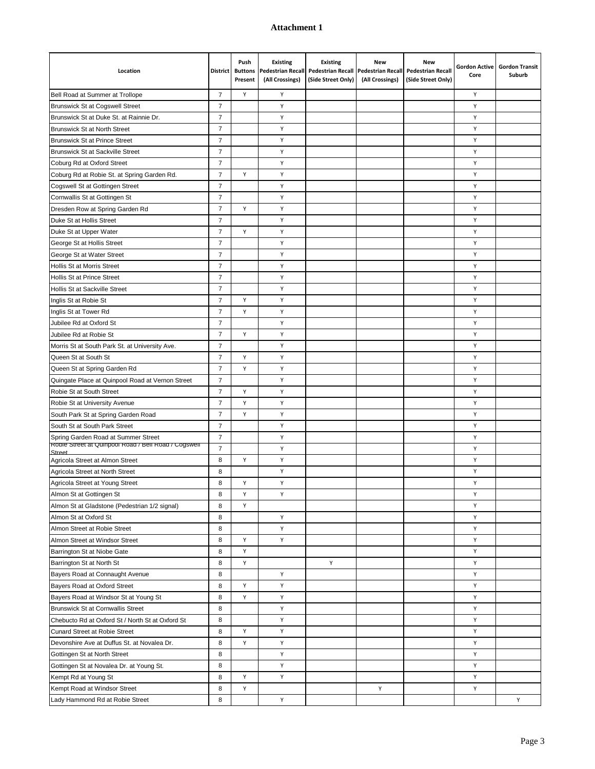| Location                                                                                    | <b>District</b> | Push<br><b>Buttons</b><br>Present | <b>Existing</b><br><b>Pedestrian Recall</b><br>(All Crossings) | <b>Existing</b><br><b>Pedestrian Recall</b><br>(Side Street Only) | New<br><b>Pedestrian Recall</b><br>(All Crossings) | <b>New</b><br><b>Pedestrian Recall</b><br>(Side Street Only) | <b>Gordon Active</b><br>Core | <b>Gordon Transit</b><br>Suburb |
|---------------------------------------------------------------------------------------------|-----------------|-----------------------------------|----------------------------------------------------------------|-------------------------------------------------------------------|----------------------------------------------------|--------------------------------------------------------------|------------------------------|---------------------------------|
| Bell Road at Summer at Trollope                                                             | $\overline{7}$  | Y                                 | Υ                                                              |                                                                   |                                                    |                                                              | Y                            |                                 |
| <b>Brunswick St at Cogswell Street</b>                                                      | $\overline{7}$  |                                   | Υ                                                              |                                                                   |                                                    |                                                              | Y                            |                                 |
| Brunswick St at Duke St. at Rainnie Dr.                                                     | $\overline{7}$  |                                   | Υ                                                              |                                                                   |                                                    |                                                              | Υ                            |                                 |
| <b>Brunswick St at North Street</b>                                                         | $\overline{7}$  |                                   | Υ                                                              |                                                                   |                                                    |                                                              | Υ                            |                                 |
| <b>Brunswick St at Prince Street</b>                                                        | $\overline{7}$  |                                   | Y                                                              |                                                                   |                                                    |                                                              | Y                            |                                 |
| <b>Brunswick St at Sackville Street</b>                                                     | $\overline{7}$  |                                   | Υ                                                              |                                                                   |                                                    |                                                              | Υ                            |                                 |
| Coburg Rd at Oxford Street                                                                  | $\overline{7}$  |                                   | Υ                                                              |                                                                   |                                                    |                                                              | Υ                            |                                 |
| Coburg Rd at Robie St. at Spring Garden Rd.                                                 | $\overline{7}$  | Υ                                 | Υ                                                              |                                                                   |                                                    |                                                              | Υ                            |                                 |
| Cogswell St at Gottingen Street                                                             | $\overline{7}$  |                                   | Υ                                                              |                                                                   |                                                    |                                                              | Υ                            |                                 |
| Cornwallis St at Gottingen St                                                               | $\overline{7}$  |                                   | Υ                                                              |                                                                   |                                                    |                                                              | Υ                            |                                 |
| Dresden Row at Spring Garden Rd                                                             | $\overline{7}$  | Υ                                 | Υ                                                              |                                                                   |                                                    |                                                              | Y                            |                                 |
| Duke St at Hollis Street                                                                    | $\overline{7}$  |                                   | Υ                                                              |                                                                   |                                                    |                                                              | Υ                            |                                 |
| Duke St at Upper Water                                                                      | $\overline{7}$  | Υ                                 | Υ                                                              |                                                                   |                                                    |                                                              | Υ                            |                                 |
| George St at Hollis Street                                                                  | $\overline{7}$  |                                   | Υ                                                              |                                                                   |                                                    |                                                              | Υ                            |                                 |
| George St at Water Street                                                                   | $\overline{7}$  |                                   | Υ                                                              |                                                                   |                                                    |                                                              | Υ                            |                                 |
| Hollis St at Morris Street                                                                  | $\overline{7}$  |                                   | Υ                                                              |                                                                   |                                                    |                                                              | Υ                            |                                 |
| Hollis St at Prince Street                                                                  | $\overline{7}$  |                                   | Υ                                                              |                                                                   |                                                    |                                                              | Y                            |                                 |
| Hollis St at Sackville Street                                                               | $\overline{7}$  |                                   | Υ                                                              |                                                                   |                                                    |                                                              | Υ                            |                                 |
| Inglis St at Robie St                                                                       | $\overline{7}$  | Υ                                 | Υ                                                              |                                                                   |                                                    |                                                              | Y                            |                                 |
| Inglis St at Tower Rd                                                                       | $\overline{7}$  | Y                                 | Υ                                                              |                                                                   |                                                    |                                                              | Υ                            |                                 |
| Jubilee Rd at Oxford St                                                                     | $\overline{7}$  |                                   | Υ                                                              |                                                                   |                                                    |                                                              | Υ                            |                                 |
| Jubilee Rd at Robie St                                                                      | $\overline{7}$  | Υ                                 | Υ                                                              |                                                                   |                                                    |                                                              | Υ                            |                                 |
| Morris St at South Park St. at University Ave.                                              | $\overline{7}$  |                                   | Υ                                                              |                                                                   |                                                    |                                                              | Υ                            |                                 |
| Queen St at South St                                                                        | $\overline{7}$  | Υ                                 | Υ                                                              |                                                                   |                                                    |                                                              | Υ                            |                                 |
| Queen St at Spring Garden Rd                                                                | $\overline{7}$  | Y                                 | Y                                                              |                                                                   |                                                    |                                                              | Υ                            |                                 |
| Quingate Place at Quinpool Road at Vernon Street                                            | $\overline{7}$  |                                   | Υ                                                              |                                                                   |                                                    |                                                              | Υ                            |                                 |
| Robie St at South Street                                                                    | $\overline{7}$  | Y                                 | Υ                                                              |                                                                   |                                                    |                                                              | Υ                            |                                 |
| Robie St at University Avenue                                                               | $\overline{7}$  | Y                                 | Υ                                                              |                                                                   |                                                    |                                                              | Υ                            |                                 |
|                                                                                             | $\overline{7}$  | Y                                 | Υ                                                              |                                                                   |                                                    |                                                              | Y                            |                                 |
| South Park St at Spring Garden Road<br>South St at South Park Street                        | $\overline{7}$  |                                   | Υ                                                              |                                                                   |                                                    |                                                              | Υ                            |                                 |
|                                                                                             | $\overline{7}$  |                                   | Υ                                                              |                                                                   |                                                    |                                                              | Υ                            |                                 |
| Spring Garden Road at Summer Street<br>Robie Street at Quinpool Road / Bell Road / Cogswell | $\overline{7}$  |                                   | Υ                                                              |                                                                   |                                                    |                                                              | Υ                            |                                 |
| Street<br>Agricola Street at Almon Street                                                   | 8               | Υ                                 | Υ                                                              |                                                                   |                                                    |                                                              | Υ                            |                                 |
| Agricola Street at North Street                                                             | 8               |                                   | Υ                                                              |                                                                   |                                                    |                                                              | Υ                            |                                 |
| Agricola Street at Young Street                                                             | 8               | Y                                 | Υ                                                              |                                                                   |                                                    |                                                              | Υ                            |                                 |
| Almon St at Gottingen St                                                                    | 8               | Υ                                 | Υ                                                              |                                                                   |                                                    |                                                              | Υ                            |                                 |
| Almon St at Gladstone (Pedestrian 1/2 signal)                                               | 8               | Y                                 |                                                                |                                                                   |                                                    |                                                              | Υ                            |                                 |
| Almon St at Oxford St                                                                       | 8               |                                   | Υ                                                              |                                                                   |                                                    |                                                              | Υ                            |                                 |
| Almon Street at Robie Street                                                                | 8               |                                   | Y                                                              |                                                                   |                                                    |                                                              | Y                            |                                 |
| Almon Street at Windsor Street                                                              | 8               | Υ                                 | Υ                                                              |                                                                   |                                                    |                                                              | Υ                            |                                 |
| Barrington St at Niobe Gate                                                                 | 8               | Y                                 |                                                                |                                                                   |                                                    |                                                              | Υ                            |                                 |
| Barrington St at North St                                                                   | 8               | Υ                                 |                                                                | Y                                                                 |                                                    |                                                              | Υ                            |                                 |
| Bayers Road at Connaught Avenue                                                             | 8               |                                   | Υ                                                              |                                                                   |                                                    |                                                              | Υ                            |                                 |
| Bayers Road at Oxford Street                                                                | 8               | Υ                                 | Υ                                                              |                                                                   |                                                    |                                                              | Y                            |                                 |
| Bayers Road at Windsor St at Young St                                                       | 8               | Υ                                 | Υ                                                              |                                                                   |                                                    |                                                              | Y                            |                                 |
| Brunswick St at Cornwallis Street                                                           | 8               |                                   | Υ                                                              |                                                                   |                                                    |                                                              | Y                            |                                 |
| Chebucto Rd at Oxford St / North St at Oxford St                                            | 8               |                                   | Υ                                                              |                                                                   |                                                    |                                                              | Y                            |                                 |
| <b>Cunard Street at Robie Street</b>                                                        | 8               | Υ                                 | Y                                                              |                                                                   |                                                    |                                                              | Y                            |                                 |
| Devonshire Ave at Duffus St. at Novalea Dr.                                                 | 8               | Υ                                 | Υ                                                              |                                                                   |                                                    |                                                              | Υ                            |                                 |
| Gottingen St at North Street                                                                | 8               |                                   | Y                                                              |                                                                   |                                                    |                                                              | Y                            |                                 |
|                                                                                             | 8               |                                   | Y                                                              |                                                                   |                                                    |                                                              | Υ                            |                                 |
| Gottingen St at Novalea Dr. at Young St.<br>Kempt Rd at Young St                            | 8               | Υ                                 | Υ                                                              |                                                                   |                                                    |                                                              | Υ                            |                                 |
| Kempt Road at Windsor Street                                                                | 8               | Υ                                 |                                                                |                                                                   | Υ                                                  |                                                              | Υ                            |                                 |
| Lady Hammond Rd at Robie Street                                                             | 8               |                                   | Υ                                                              |                                                                   |                                                    |                                                              |                              | Y                               |
|                                                                                             |                 |                                   |                                                                |                                                                   |                                                    |                                                              |                              |                                 |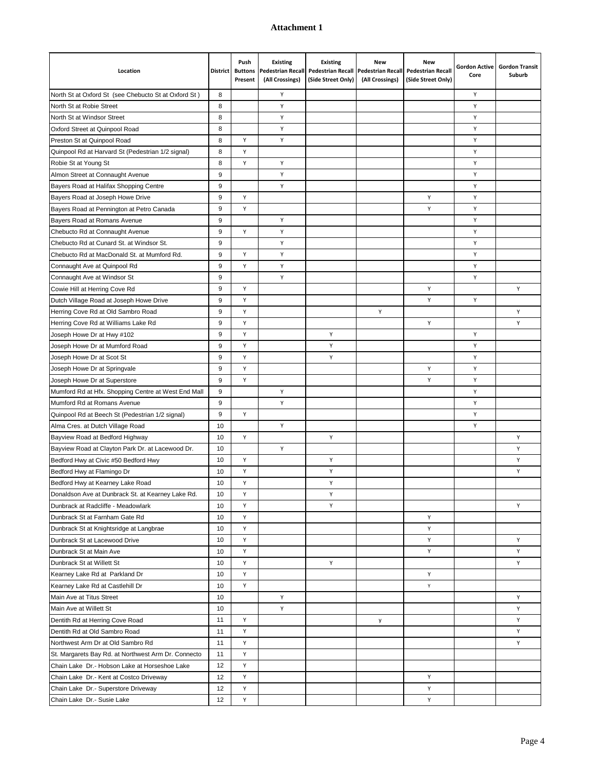| Location                                             | <b>District</b> | Push<br><b>Buttons</b><br>Present | <b>Existing</b><br><b>Pedestrian Recall</b><br>(All Crossings) | <b>Existing</b><br><b>Pedestrian Recall</b><br>(Side Street Only) | New<br><b>Pedestrian Recall</b><br>(All Crossings) | <b>New</b><br><b>Pedestrian Recall</b><br>(Side Street Only) | <b>Gordon Active</b><br>Core | <b>Gordon Transit</b><br>Suburb |
|------------------------------------------------------|-----------------|-----------------------------------|----------------------------------------------------------------|-------------------------------------------------------------------|----------------------------------------------------|--------------------------------------------------------------|------------------------------|---------------------------------|
| North St at Oxford St (see Chebucto St at Oxford St) | 8               |                                   | Y                                                              |                                                                   |                                                    |                                                              | Y                            |                                 |
| North St at Robie Street                             | 8               |                                   | Υ                                                              |                                                                   |                                                    |                                                              | Y                            |                                 |
| North St at Windsor Street                           | 8               |                                   | Υ                                                              |                                                                   |                                                    |                                                              | Υ                            |                                 |
| Oxford Street at Quinpool Road                       | 8               |                                   | Υ                                                              |                                                                   |                                                    |                                                              | Υ                            |                                 |
| Preston St at Quinpool Road                          | 8               | Y                                 | Υ                                                              |                                                                   |                                                    |                                                              | Y                            |                                 |
| Quinpool Rd at Harvard St (Pedestrian 1/2 signal)    | 8               | Y                                 |                                                                |                                                                   |                                                    |                                                              | Y                            |                                 |
| Robie St at Young St                                 | 8               | Y                                 | Υ                                                              |                                                                   |                                                    |                                                              | Y                            |                                 |
| Almon Street at Connaught Avenue                     | 9               |                                   | Υ                                                              |                                                                   |                                                    |                                                              | Y                            |                                 |
| Bayers Road at Halifax Shopping Centre               | 9               |                                   | Υ                                                              |                                                                   |                                                    |                                                              | Υ                            |                                 |
| Bayers Road at Joseph Howe Drive                     | 9               | Y                                 |                                                                |                                                                   |                                                    | Υ                                                            | Υ                            |                                 |
| Bayers Road at Pennington at Petro Canada            | 9               | Y                                 |                                                                |                                                                   |                                                    | Y                                                            | Υ                            |                                 |
| Bayers Road at Romans Avenue                         | 9               |                                   | Υ                                                              |                                                                   |                                                    |                                                              | Υ                            |                                 |
| Chebucto Rd at Connaught Avenue                      | 9               | Y                                 | Υ                                                              |                                                                   |                                                    |                                                              | Υ                            |                                 |
| Chebucto Rd at Cunard St. at Windsor St.             | 9               |                                   | Υ                                                              |                                                                   |                                                    |                                                              | Υ                            |                                 |
| Chebucto Rd at MacDonald St. at Mumford Rd.          | 9               | Y                                 | Υ                                                              |                                                                   |                                                    |                                                              | Υ                            |                                 |
| Connaught Ave at Quinpool Rd                         | 9               | Y                                 | Υ                                                              |                                                                   |                                                    |                                                              | Y                            |                                 |
| Connaught Ave at Windsor St                          | 9               |                                   | Υ                                                              |                                                                   |                                                    |                                                              | Υ                            |                                 |
| Cowie Hill at Herring Cove Rd                        | 9               | Y                                 |                                                                |                                                                   |                                                    | Y                                                            |                              | Υ                               |
| Dutch Village Road at Joseph Howe Drive              | 9               | Y                                 |                                                                |                                                                   |                                                    | Υ                                                            | Υ                            |                                 |
| Herring Cove Rd at Old Sambro Road                   | 9               | Y                                 |                                                                |                                                                   | Υ                                                  |                                                              |                              | Υ                               |
| Herring Cove Rd at Williams Lake Rd                  | 9               | Y                                 |                                                                |                                                                   |                                                    | Y                                                            |                              | Υ                               |
| Joseph Howe Dr at Hwy #102                           | 9               | Y                                 |                                                                | Y                                                                 |                                                    |                                                              | Υ                            |                                 |
| Joseph Howe Dr at Mumford Road                       | 9               | Y                                 |                                                                | Y                                                                 |                                                    |                                                              | Y                            |                                 |
| Joseph Howe Dr at Scot St                            | 9               | Y                                 |                                                                | Y                                                                 |                                                    |                                                              | Υ                            |                                 |
| Joseph Howe Dr at Springvale                         | 9               | Y                                 |                                                                |                                                                   |                                                    | Υ                                                            | Υ                            |                                 |
| Joseph Howe Dr at Superstore                         | 9               | Y                                 |                                                                |                                                                   |                                                    | Υ                                                            | Υ                            |                                 |
| Mumford Rd at Hfx. Shopping Centre at West End Mall  | 9               |                                   | Υ                                                              |                                                                   |                                                    |                                                              | Y                            |                                 |
| Mumford Rd at Romans Avenue                          | 9               |                                   | Υ                                                              |                                                                   |                                                    |                                                              | Υ                            |                                 |
| Quinpool Rd at Beech St (Pedestrian 1/2 signal)      | 9               | Y                                 |                                                                |                                                                   |                                                    |                                                              | Υ                            |                                 |
| Alma Cres. at Dutch Village Road                     | 10              |                                   | Υ                                                              |                                                                   |                                                    |                                                              | Υ                            |                                 |
| Bayview Road at Bedford Highway                      | 10              | Y                                 |                                                                | Υ                                                                 |                                                    |                                                              |                              | Υ                               |
| Bayview Road at Clayton Park Dr. at Lacewood Dr.     | 10              |                                   | Y                                                              |                                                                   |                                                    |                                                              |                              | Y                               |
| Bedford Hwy at Civic #50 Bedford Hwy                 | 10              | Y                                 |                                                                | Y                                                                 |                                                    |                                                              |                              | Y                               |
| Bedford Hwy at Flamingo Dr                           | 10              | Y                                 |                                                                | Y                                                                 |                                                    |                                                              |                              | Υ                               |
| Bedford Hwy at Kearney Lake Road                     | 10              | Y                                 |                                                                | Y                                                                 |                                                    |                                                              |                              |                                 |
| Donaldson Ave at Dunbrack St. at Kearney Lake Rd.    | 10              | Y                                 |                                                                | Υ                                                                 |                                                    |                                                              |                              |                                 |
| Dunbrack at Radcliffe - Meadowlark                   | 10              | Y                                 |                                                                | Y.                                                                |                                                    |                                                              |                              | Y                               |
| Dunbrack St at Farnham Gate Rd                       | 10              | Y                                 |                                                                |                                                                   |                                                    | Y                                                            |                              |                                 |
| Dunbrack St at Knightsridge at Langbrae              | 10              | Y                                 |                                                                |                                                                   |                                                    | Υ                                                            |                              |                                 |
| Dunbrack St at Lacewood Drive                        | 10              | Y                                 |                                                                |                                                                   |                                                    | Υ                                                            |                              | Υ                               |
| Dunbrack St at Main Ave                              | 10              | Y                                 |                                                                |                                                                   |                                                    | Υ                                                            |                              | Υ                               |
| Dunbrack St at Willett St                            | 10              | Y                                 |                                                                | Y                                                                 |                                                    |                                                              |                              | Υ                               |
| Kearney Lake Rd at Parkland Dr                       | 10              | Y                                 |                                                                |                                                                   |                                                    | Υ                                                            |                              |                                 |
| Kearney Lake Rd at Castlehill Dr                     | 10              | Y                                 |                                                                |                                                                   |                                                    | Υ                                                            |                              |                                 |
| Main Ave at Titus Street                             | 10              |                                   | Υ                                                              |                                                                   |                                                    |                                                              |                              | Υ                               |
| Main Ave at Willett St                               | 10              |                                   | Υ                                                              |                                                                   |                                                    |                                                              |                              | Υ                               |
| Dentith Rd at Herring Cove Road                      | 11              | Y                                 |                                                                |                                                                   | y                                                  |                                                              |                              | Υ                               |
| Dentith Rd at Old Sambro Road                        | 11              | Y                                 |                                                                |                                                                   |                                                    |                                                              |                              | Y                               |
| Northwest Arm Dr at Old Sambro Rd                    | 11              | Y                                 |                                                                |                                                                   |                                                    |                                                              |                              | Y                               |
| St. Margarets Bay Rd. at Northwest Arm Dr. Connecto  | 11              | Y                                 |                                                                |                                                                   |                                                    |                                                              |                              |                                 |
| Chain Lake Dr.- Hobson Lake at Horseshoe Lake        | 12              | Y                                 |                                                                |                                                                   |                                                    |                                                              |                              |                                 |
| Chain Lake Dr.- Kent at Costco Driveway              | 12              | Y                                 |                                                                |                                                                   |                                                    | Υ                                                            |                              |                                 |
| Chain Lake Dr.- Superstore Driveway                  | 12              | Y                                 |                                                                |                                                                   |                                                    | Y                                                            |                              |                                 |
| Chain Lake Dr.- Susie Lake                           | 12              | Y                                 |                                                                |                                                                   |                                                    | Y                                                            |                              |                                 |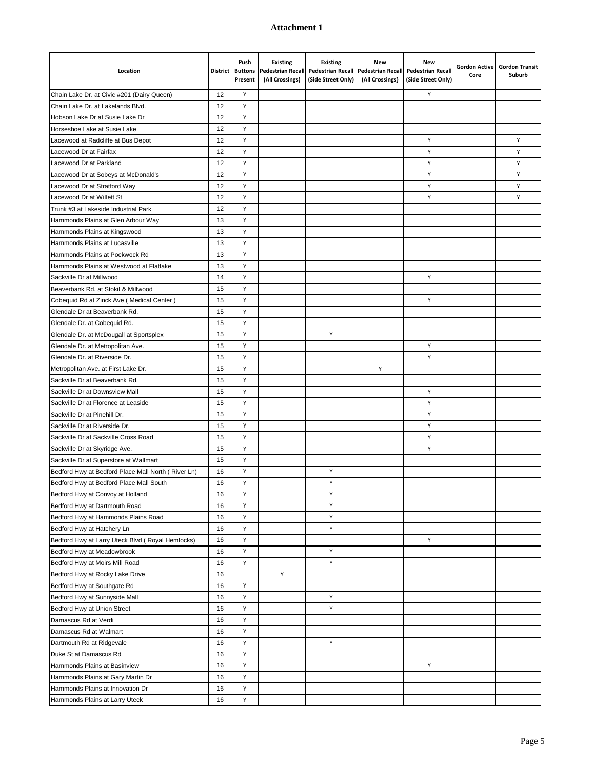| Location                                           | <b>District</b> | Push<br><b>Buttons</b><br>Present | <b>Existing</b><br><b>Pedestrian Recall</b><br>(All Crossings) | <b>Existing</b><br><b>Pedestrian Recall</b><br>(Side Street Only) | <b>New</b><br><b>Pedestrian Recall</b><br>(All Crossings) | <b>New</b><br><b>Pedestrian Recall</b><br>(Side Street Only) | <b>Gordon Active</b><br>Core | <b>Gordon Transit</b><br>Suburb |
|----------------------------------------------------|-----------------|-----------------------------------|----------------------------------------------------------------|-------------------------------------------------------------------|-----------------------------------------------------------|--------------------------------------------------------------|------------------------------|---------------------------------|
| Chain Lake Dr. at Civic #201 (Dairy Queen)         | 12              | Y                                 |                                                                |                                                                   |                                                           | Y                                                            |                              |                                 |
| Chain Lake Dr. at Lakelands Blvd.                  | 12              | Y                                 |                                                                |                                                                   |                                                           |                                                              |                              |                                 |
| Hobson Lake Dr at Susie Lake Dr                    | 12              | Y                                 |                                                                |                                                                   |                                                           |                                                              |                              |                                 |
| Horseshoe Lake at Susie Lake                       | 12              | Υ                                 |                                                                |                                                                   |                                                           |                                                              |                              |                                 |
| Lacewood at Radcliffe at Bus Depot                 | 12              | Y                                 |                                                                |                                                                   |                                                           | Υ                                                            |                              | Υ                               |
| Lacewood Dr at Fairfax                             | 12              | Υ                                 |                                                                |                                                                   |                                                           | Υ                                                            |                              | Y                               |
| Lacewood Dr at Parkland                            | 12              | Y                                 |                                                                |                                                                   |                                                           | Υ                                                            |                              | Y                               |
| Lacewood Dr at Sobeys at McDonald's                | 12              | Y                                 |                                                                |                                                                   |                                                           | Y                                                            |                              | Y                               |
| Lacewood Dr at Stratford Way                       | 12              | Y                                 |                                                                |                                                                   |                                                           | Y                                                            |                              | Υ                               |
| Lacewood Dr at Willett St                          | 12              | Y                                 |                                                                |                                                                   |                                                           | Υ                                                            |                              | Y                               |
| Trunk #3 at Lakeside Industrial Park               | 12              | Y                                 |                                                                |                                                                   |                                                           |                                                              |                              |                                 |
| Hammonds Plains at Glen Arbour Way                 | 13              | Y                                 |                                                                |                                                                   |                                                           |                                                              |                              |                                 |
| Hammonds Plains at Kingswood                       | 13              | Y                                 |                                                                |                                                                   |                                                           |                                                              |                              |                                 |
| Hammonds Plains at Lucasville                      | 13              | Y                                 |                                                                |                                                                   |                                                           |                                                              |                              |                                 |
| Hammonds Plains at Pockwock Rd                     | 13              | Y                                 |                                                                |                                                                   |                                                           |                                                              |                              |                                 |
| Hammonds Plains at Westwood at Flatlake            | 13              | Y                                 |                                                                |                                                                   |                                                           |                                                              |                              |                                 |
| Sackville Dr at Millwood                           | 14              | Y                                 |                                                                |                                                                   |                                                           | Υ                                                            |                              |                                 |
| Beaverbank Rd. at Stokil & Millwood                | 15              | Y                                 |                                                                |                                                                   |                                                           |                                                              |                              |                                 |
| Cobequid Rd at Zinck Ave (Medical Center)          | 15              | Y                                 |                                                                |                                                                   |                                                           | Υ                                                            |                              |                                 |
| Glendale Dr at Beaverbank Rd.                      | 15              | Y                                 |                                                                |                                                                   |                                                           |                                                              |                              |                                 |
| Glendale Dr. at Cobequid Rd.                       | 15              | Y                                 |                                                                |                                                                   |                                                           |                                                              |                              |                                 |
| Glendale Dr. at McDougall at Sportsplex            | 15              | Y                                 |                                                                | Υ                                                                 |                                                           |                                                              |                              |                                 |
| Glendale Dr. at Metropolitan Ave.                  | 15              | Y                                 |                                                                |                                                                   |                                                           | Υ                                                            |                              |                                 |
| Glendale Dr. at Riverside Dr.                      | 15              | Υ                                 |                                                                |                                                                   |                                                           | Υ                                                            |                              |                                 |
| Metropolitan Ave. at First Lake Dr.                | 15              | Y                                 |                                                                |                                                                   | Υ                                                         |                                                              |                              |                                 |
| Sackville Dr at Beaverbank Rd.                     | 15              | Y                                 |                                                                |                                                                   |                                                           |                                                              |                              |                                 |
| Sackville Dr at Downsview Mall                     | 15              | Y                                 |                                                                |                                                                   |                                                           | Y                                                            |                              |                                 |
| Sackville Dr at Florence at Leaside                | 15              | Y                                 |                                                                |                                                                   |                                                           | Y                                                            |                              |                                 |
| Sackville Dr at Pinehill Dr.                       | 15              | Y                                 |                                                                |                                                                   |                                                           | Υ                                                            |                              |                                 |
| Sackville Dr at Riverside Dr.                      | 15              | Y                                 |                                                                |                                                                   |                                                           | Υ                                                            |                              |                                 |
| Sackville Dr at Sackville Cross Road               | 15              | Y                                 |                                                                |                                                                   |                                                           | Υ                                                            |                              |                                 |
| Sackville Dr at Skyridge Ave.                      | 15              | Y                                 |                                                                |                                                                   |                                                           | Y                                                            |                              |                                 |
| Sackville Dr at Superstore at Wallmart             | 15              | Υ                                 |                                                                |                                                                   |                                                           |                                                              |                              |                                 |
| Bedford Hwy at Bedford Place Mall North (River Ln) | 16              | Υ                                 |                                                                | Υ                                                                 |                                                           |                                                              |                              |                                 |
| Bedford Hwy at Bedford Place Mall South            | 16              | Υ                                 |                                                                | Υ                                                                 |                                                           |                                                              |                              |                                 |
| Bedford Hwy at Convoy at Holland                   | 16              | Υ                                 |                                                                | Y                                                                 |                                                           |                                                              |                              |                                 |
| Bedford Hwy at Dartmouth Road                      | 16              | Υ                                 |                                                                | Y                                                                 |                                                           |                                                              |                              |                                 |
| Bedford Hwy at Hammonds Plains Road                | 16              | Υ                                 |                                                                | Y                                                                 |                                                           |                                                              |                              |                                 |
| Bedford Hwy at Hatchery Ln                         | 16              | Υ                                 |                                                                | Y                                                                 |                                                           |                                                              |                              |                                 |
| Bedford Hwy at Larry Uteck Blvd (Royal Hemlocks)   | 16              | Υ                                 |                                                                |                                                                   |                                                           | Υ                                                            |                              |                                 |
| Bedford Hwy at Meadowbrook                         | 16              | Υ                                 |                                                                | Y                                                                 |                                                           |                                                              |                              |                                 |
| Bedford Hwy at Moirs Mill Road                     | 16              | Υ                                 |                                                                | Y                                                                 |                                                           |                                                              |                              |                                 |
| Bedford Hwy at Rocky Lake Drive                    | 16              |                                   | Υ                                                              |                                                                   |                                                           |                                                              |                              |                                 |
| Bedford Hwy at Southgate Rd                        | 16              | Υ                                 |                                                                |                                                                   |                                                           |                                                              |                              |                                 |
| Bedford Hwy at Sunnyside Mall                      | 16              | Υ                                 |                                                                | Υ                                                                 |                                                           |                                                              |                              |                                 |
| Bedford Hwy at Union Street                        | 16              | Y                                 |                                                                | Y                                                                 |                                                           |                                                              |                              |                                 |
| Damascus Rd at Verdi                               | 16              | Υ                                 |                                                                |                                                                   |                                                           |                                                              |                              |                                 |
| Damascus Rd at Walmart                             | 16              | Υ                                 |                                                                |                                                                   |                                                           |                                                              |                              |                                 |
| Dartmouth Rd at Ridgevale                          | 16              | Υ                                 |                                                                | Y                                                                 |                                                           |                                                              |                              |                                 |
| Duke St at Damascus Rd                             | 16              | Υ                                 |                                                                |                                                                   |                                                           |                                                              |                              |                                 |
| Hammonds Plains at Basinview                       | 16              | Υ                                 |                                                                |                                                                   |                                                           | Υ                                                            |                              |                                 |
| Hammonds Plains at Gary Martin Dr                  | 16              | Υ                                 |                                                                |                                                                   |                                                           |                                                              |                              |                                 |
| Hammonds Plains at Innovation Dr                   | 16              | Υ                                 |                                                                |                                                                   |                                                           |                                                              |                              |                                 |
| Hammonds Plains at Larry Uteck                     | 16              | Υ                                 |                                                                |                                                                   |                                                           |                                                              |                              |                                 |